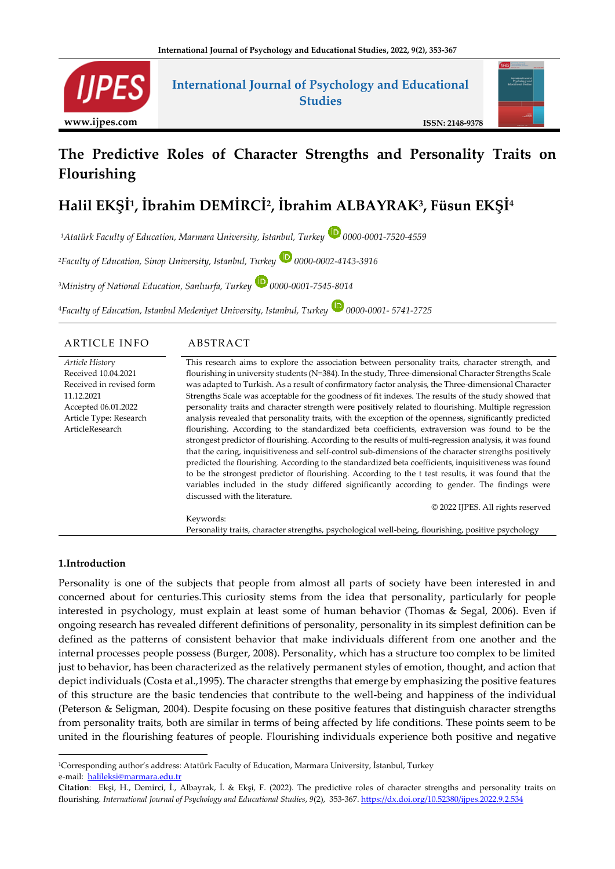

# **International Journal of Psychology and Educational Studies**



#### **ISSN: 2148-9378**

# **The Predictive Roles of Character Strengths and Personality Traits on Flourishing**

# **Halil EKŞİ<sup>1</sup> , İbrahim DEMİRCİ<sup>2</sup> , İbrahim ALBAYRAK<sup>3</sup> , Füsun EKŞİ<sup>4</sup>**

*<sup>1</sup>Atatürk Faculty of Education, Marmara University, Istanbul, Turkey 0000-0001-7520-4559*

*<sup>2</sup>Faculty of Education, Sinop University, Istanbul, Turkey 0000-0002-4143-3916*

*<sup>3</sup>Ministry of National Education, Sanlıurfa, Turkey 0000-0001-7545-8014*

<sup>4</sup>*Faculty of Education, Istanbul Medeniyet University, Istanbul, Turkey 0000-0001- 5741-2725*

| <b>ARTICLE INFO</b>      | ABSTRACT                                                                                                |
|--------------------------|---------------------------------------------------------------------------------------------------------|
| Article History          | This research aims to explore the association between personality traits, character strength, and       |
| Received 10.04.2021      | flourishing in university students (N=384). In the study, Three-dimensional Character Strengths Scale   |
| Received in revised form | was adapted to Turkish. As a result of confirmatory factor analysis, the Three-dimensional Character    |
| 11.12.2021               | Strengths Scale was acceptable for the goodness of fit indexes. The results of the study showed that    |
| Accepted 06.01.2022      | personality traits and character strength were positively related to flourishing. Multiple regression   |
| Article Type: Research   | analysis revealed that personality traits, with the exception of the openness, significantly predicted  |
| ArticleResearch          | flourishing. According to the standardized beta coefficients, extraversion was found to be the          |
|                          | strongest predictor of flourishing. According to the results of multi-regression analysis, it was found |
|                          | that the caring, inquisitiveness and self-control sub-dimensions of the character strengths positively  |
|                          | predicted the flourishing. According to the standardized beta coefficients, inquisitiveness was found   |
|                          | to be the strongest predictor of flourishing. According to the t test results, it was found that the    |
|                          | variables included in the study differed significantly according to gender. The findings were           |
|                          | discussed with the literature.                                                                          |
|                          | © 2022 IJPES. All rights reserved                                                                       |
|                          | Keywords:                                                                                               |
|                          | Personality traits, character strengths, psychological well-being, flourishing, positive psychology     |

#### **1.Introduction**

Personality is one of the subjects that people from almost all parts of society have been interested in and concerned about for centuries.This curiosity stems from the idea that personality, particularly for people interested in psychology, must explain at least some of human behavior (Thomas & Segal, 2006). Even if ongoing research has revealed different definitions of personality, personality in its simplest definition can be defined as the patterns of consistent behavior that make individuals different from one another and the internal processes people possess (Burger, 2008). Personality, which has a structure too complex to be limited just to behavior, has been characterized as the relatively permanent styles of emotion, thought, and action that depict individuals (Costa et al.,1995). The character strengths that emerge by emphasizing the positive features of this structure are the basic tendencies that contribute to the well-being and happiness of the individual (Peterson & Seligman, 2004). Despite focusing on these positive features that distinguish character strengths from personality traits, both are similar in terms of being affected by life conditions. These points seem to be united in the flourishing features of people. Flourishing individuals experience both positive and negative

<sup>1</sup>Corresponding author's address: Atatürk Faculty of Education, Marmara University, İstanbul, Turkey e-mail: [halileksi@marmara.edu.tr](mailto:halileksi@marmara.edu.tr)

**Citation**: Ekşi, H., Demirci, İ., Albayrak, İ. & Ekşi, F. (2022). The predictive roles of character strengths and personality traits on flourishing*. International Journal of Psychology and Educational Studies*, *9*(2), 353-367[. https://dx.doi.org/10.52380/ijpes.2022.9.2.534](https://dx.doi.org/10.52380/ijpes.2022.9.2.534)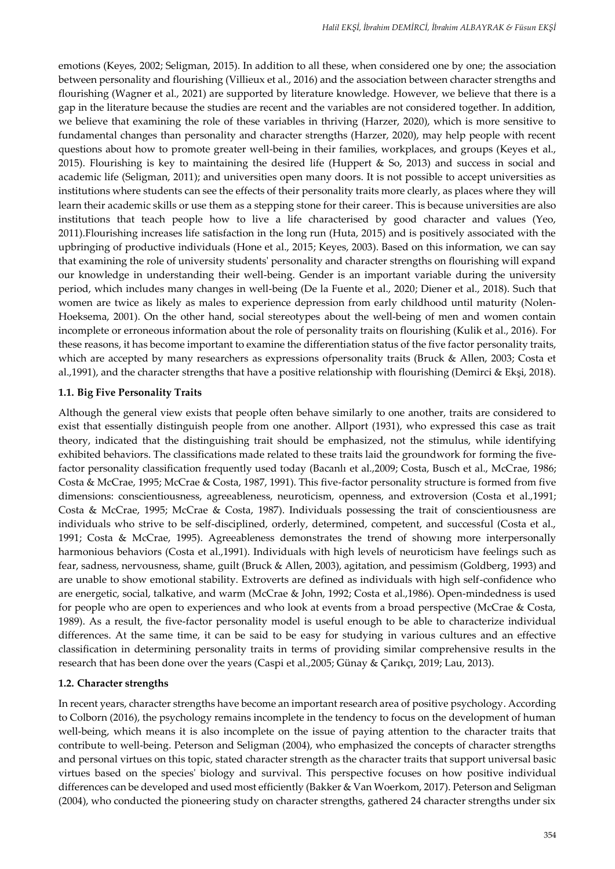emotions (Keyes, 2002; Seligman, 2015). In addition to all these, when considered one by one; the association between personality and flourishing (Villieux et al., 2016) and the association between character strengths and flourishing (Wagner et al., 2021) are supported by literature knowledge. However, we believe that there is a gap in the literature because the studies are recent and the variables are not considered together. In addition, we believe that examining the role of these variables in thriving (Harzer, 2020), which is more sensitive to fundamental changes than personality and character strengths (Harzer, 2020), may help people with recent questions about how to promote greater well-being in their families, workplaces, and groups (Keyes et al., 2015). Flourishing is key to maintaining the desired life (Huppert & So, 2013) and success in social and academic life (Seligman, 2011); and universities open many doors. It is not possible to accept universities as institutions where students can see the effects of their personality traits more clearly, as places where they will learn their academic skills or use them as a stepping stone for their career. This is because universities are also institutions that teach people how to live a life characterised by good character and values (Yeo, 2011).Flourishing increases life satisfaction in the long run (Huta, 2015) and is positively associated with the upbringing of productive individuals (Hone et al., 2015; Keyes, 2003). Based on this information, we can say that examining the role of university students' personality and character strengths on flourishing will expand our knowledge in understanding their well-being. Gender is an important variable during the university period, which includes many changes in well-being (De la Fuente et al., 2020; Diener et al., 2018). Such that women are twice as likely as males to experience depression from early childhood until maturity (Nolen-Hoeksema, 2001). On the other hand, social stereotypes about the well-being of men and women contain incomplete or erroneous information about the role of personality traits on flourishing (Kulik et al., 2016). For these reasons, it has become important to examine the differentiation status of the five factor personality traits, which are accepted by many researchers as expressions ofpersonality traits (Bruck & Allen, 2003; Costa et al.,1991), and the character strengths that have a positive relationship with flourishing (Demirci & Ekşi, 2018).

# **1.1. Big Five Personality Traits**

Although the general view exists that people often behave similarly to one another, traits are considered to exist that essentially distinguish people from one another. Allport (1931), who expressed this case as trait theory, indicated that the distinguishing trait should be emphasized, not the stimulus, while identifying exhibited behaviors. The classifications made related to these traits laid the groundwork for forming the fivefactor personality classification frequently used today (Bacanlı et al.,2009; Costa, Busch et al., McCrae, 1986; Costa & McCrae, 1995; McCrae & Costa, 1987, 1991). This five-factor personality structure is formed from five dimensions: conscientiousness, agreeableness, neuroticism, openness, and extroversion (Costa et al.,1991; Costa & McCrae, 1995; McCrae & Costa, 1987). Individuals possessing the trait of conscientiousness are individuals who strive to be self-disciplined, orderly, determined, competent, and successful (Costa et al., 1991; Costa & McCrae, 1995). Agreeableness demonstrates the trend of showıng more interpersonally harmonious behaviors (Costa et al.,1991). Individuals with high levels of neuroticism have feelings such as fear, sadness, nervousness, shame, guilt (Bruck & Allen, 2003), agitation, and pessimism (Goldberg, 1993) and are unable to show emotional stability. Extroverts are defined as individuals with high self-confidence who are energetic, social, talkative, and warm (McCrae & John, 1992; Costa et al.,1986). Open-mindedness is used for people who are open to experiences and who look at events from a broad perspective (McCrae & Costa, 1989). As a result, the five-factor personality model is useful enough to be able to characterize individual differences. At the same time, it can be said to be easy for studying in various cultures and an effective classification in determining personality traits in terms of providing similar comprehensive results in the research that has been done over the years (Caspi et al.,2005; Günay & Çarıkçı, 2019; Lau, 2013).

# **1.2. Character strengths**

In recent years, character strengths have become an important research area of positive psychology. According to Colborn (2016), the psychology remains incomplete in the tendency to focus on the development of human well-being, which means it is also incomplete on the issue of paying attention to the character traits that contribute to well-being. Peterson and Seligman (2004), who emphasized the concepts of character strengths and personal virtues on this topic, stated character strength as the character traits that support universal basic virtues based on the species' biology and survival. This perspective focuses on how positive individual differences can be developed and used most efficiently (Bakker & Van Woerkom, 2017). Peterson and Seligman (2004), who conducted the pioneering study on character strengths, gathered 24 character strengths under six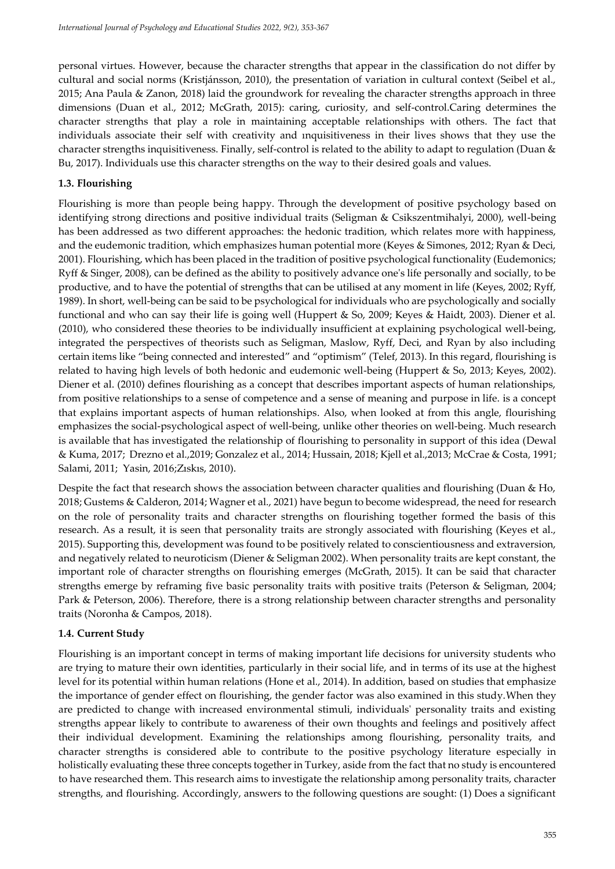personal virtues. However, because the character strengths that appear in the classification do not differ by cultural and social norms (Kristjánsson, 2010), the presentation of variation in cultural context (Seibel et al., 2015; Ana Paula & Zanon, 2018) laid the groundwork for revealing the character strengths approach in three dimensions (Duan et al., 2012; McGrath, 2015): caring, curiosity, and self-control.Caring determines the character strengths that play a role in maintaining acceptable relationships with others. The fact that individuals associate their self with creativity and ınquisitiveness in their lives shows that they use the character strengths inquisitiveness. Finally, self-control is related to the ability to adapt to regulation (Duan & Bu, 2017). Individuals use this character strengths on the way to their desired goals and values.

# **1.3. Flourishing**

Flourishing is more than people being happy. Through the development of positive psychology based on identifying strong directions and positive individual traits (Seligman & Csikszentmihalyi, 2000), well-being has been addressed as two different approaches: the hedonic tradition, which relates more with happiness, and the eudemonic tradition, which emphasizes human potential more (Keyes & Simones, 2012; Ryan & Deci, 2001). Flourishing, which has been placed in the tradition of positive psychological functionality (Eudemonics; Ryff & Singer, 2008), can be defined as the ability to positively advance one's life personally and socially, to be productive, and to have the potential of strengths that can be utilised at any moment in life (Keyes, 2002; Ryff, 1989). In short, well-being can be said to be psychological for individuals who are psychologically and socially functional and who can say their life is going well (Huppert & So, 2009; Keyes & Haidt, 2003). Diener et al. (2010), who considered these theories to be individually insufficient at explaining psychological well-being, integrated the perspectives of theorists such as Seligman, Maslow, Ryff, Deci, and Ryan by also including certain items like "being connected and interested" and "optimism" (Telef, 2013). In this regard, flourishing is related to having high levels of both hedonic and eudemonic well-being (Huppert & So, 2013; Keyes, 2002). Diener et al. (2010) defines flourishing as a concept that describes important aspects of human relationships, from positive relationships to a sense of competence and a sense of meaning and purpose in life. is a concept that explains important aspects of human relationships. Also, when looked at from this angle, flourishing emphasizes the social-psychological aspect of well-being, unlike other theories on well-being. Much research is available that has investigated the relationship of flourishing to personality in support of this idea (Dewal & Kuma, 2017; Drezno et al.,2019; Gonzalez et al., 2014; Hussain, 2018; Kjell et al.,2013; McCrae & Costa, 1991; Salami, 2011; Yasin, 2016;Zıskıs, 2010).

Despite the fact that research shows the association between character qualities and flourishing (Duan & Ho, 2018; Gustems & Calderon, 2014; Wagner et al., 2021) have begun to become widespread, the need for research on the role of personality traits and character strengths on flourishing together formed the basis of this research. As a result, it is seen that personality traits are strongly associated with flourishing (Keyes et al., 2015). Supporting this, development was found to be positively related to conscientiousness and extraversion, and negatively related to neuroticism (Diener & Seligman 2002). When personality traits are kept constant, the important role of character strengths on flourishing emerges (McGrath, 2015). It can be said that character strengths emerge by reframing five basic personality traits with positive traits (Peterson & Seligman, 2004; Park & Peterson, 2006). Therefore, there is a strong relationship between character strengths and personality traits (Noronha & Campos, 2018).

# **1.4. Current Study**

Flourishing is an important concept in terms of making important life decisions for university students who are trying to mature their own identities, particularly in their social life, and in terms of its use at the highest level for its potential within human relations (Hone et al., 2014). In addition, based on studies that emphasize the importance of gender effect on flourishing, the gender factor was also examined in this study.When they are predicted to change with increased environmental stimuli, individuals' personality traits and existing strengths appear likely to contribute to awareness of their own thoughts and feelings and positively affect their individual development. Examining the relationships among flourishing, personality traits, and character strengths is considered able to contribute to the positive psychology literature especially in holistically evaluating these three concepts together in Turkey, aside from the fact that no study is encountered to have researched them. This research aims to investigate the relationship among personality traits, character strengths, and flourishing. Accordingly, answers to the following questions are sought: (1) Does a significant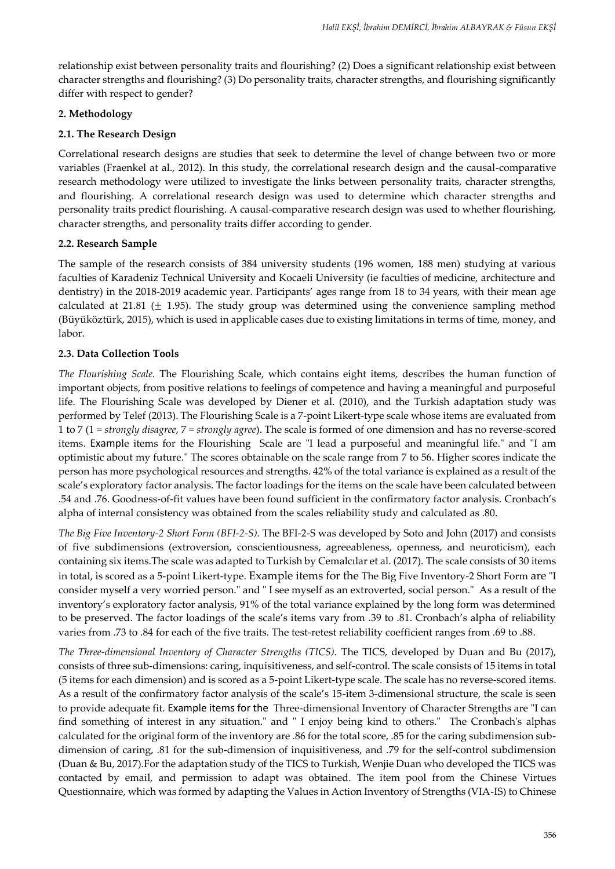relationship exist between personality traits and flourishing? (2) Does a significant relationship exist between character strengths and flourishing? (3) Do personality traits, character strengths, and flourishing significantly differ with respect to gender?

#### **2. Methodology**

# **2.1. The Research Design**

Correlational research designs are studies that seek to determine the level of change between two or more variables (Fraenkel at al., 2012). In this study, the correlational research design and the causal-comparative research methodology were utilized to investigate the links between personality traits, character strengths, and flourishing. A correlational research design was used to determine which character strengths and personality traits predict flourishing. A causal-comparative research design was used to whether flourishing, character strengths, and personality traits differ according to gender.

#### **2.2. Research Sample**

The sample of the research consists of 384 university students (196 women, 188 men) studying at various faculties of Karadeniz Technical University and Kocaeli University (ie faculties of medicine, architecture and dentistry) in the 2018-2019 academic year. Participants' ages range from 18 to 34 years, with their mean age calculated at 21.81 ( $\pm$  1.95). The study group was determined using the convenience sampling method (Büyüköztürk, 2015), which is used in applicable cases due to existing limitations in terms of time, money, and labor.

#### **2.3. Data Collection Tools**

*The Flourishing Scale.* The Flourishing Scale, which contains eight items, describes the human function of important objects, from positive relations to feelings of competence and having a meaningful and purposeful life. The Flourishing Scale was developed by Diener et al. (2010), and the Turkish adaptation study was performed by Telef (2013). The Flourishing Scale is a 7-point Likert-type scale whose items are evaluated from 1 to 7 (1 = *strongly disagree*, 7 = *strongly agree*). The scale is formed of one dimension and has no reverse-scored items. Example items for the Flourishing Scale are "I lead a purposeful and meaningful life." and "I am optimistic about my future." The scores obtainable on the scale range from 7 to 56. Higher scores indicate the person has more psychological resources and strengths. 42% of the total variance is explained as a result of the scale's exploratory factor analysis. The factor loadings for the items on the scale have been calculated between .54 and .76. Goodness-of-fit values have been found sufficient in the confirmatory factor analysis. Cronbach's alpha of internal consistency was obtained from the scales reliability study and calculated as .80.

*The Big Five Inventory-2 Short Form (BFI-2-S).* The BFI-2-S was developed by Soto and John (2017) and consists of five subdimensions (extroversion, conscientiousness, agreeableness, openness, and neuroticism), each containing six items.The scale was adapted to Turkish by Cemalcılar et al. (2017). The scale consists of 30 items in total, is scored as a 5-point Likert-type. Example items for the The Big Five Inventory-2 Short Form are "I consider myself a very worried person." and " I see myself as an extroverted, social person." As a result of the inventory's exploratory factor analysis, 91% of the total variance explained by the long form was determined to be preserved. The factor loadings of the scale's items vary from .39 to .81. Cronbach's alpha of reliability varies from .73 to .84 for each of the five traits. The test-retest reliability coefficient ranges from .69 to .88.

*The Three-dimensional Inventory of Character Strengths (TICS).* The TICS, developed by Duan and Bu (2017), consists of three sub-dimensions: caring, inquisitiveness, and self-control. The scale consists of 15 items in total (5 items for each dimension) and is scored as a 5-point Likert-type scale. The scale has no reverse-scored items. As a result of the confirmatory factor analysis of the scale's 15-item 3-dimensional structure, the scale is seen to provide adequate fit. Example items for the Three-dimensional Inventory of Character Strengths are "I can find something of interest in any situation." and " I enjoy being kind to others." The Cronbach's alphas calculated for the original form of the inventory are .86 for the total score, .85 for the caring subdimension subdimension of caring, .81 for the sub-dimension of inquisitiveness, and .79 for the self-control subdimension (Duan & Bu, 2017).For the adaptation study of the TICS to Turkish, Wenjie Duan who developed the TICS was contacted by email, and permission to adapt was obtained. The item pool from the Chinese Virtues Questionnaire, which was formed by adapting the Values in Action Inventory of Strengths (VIA-IS) to Chinese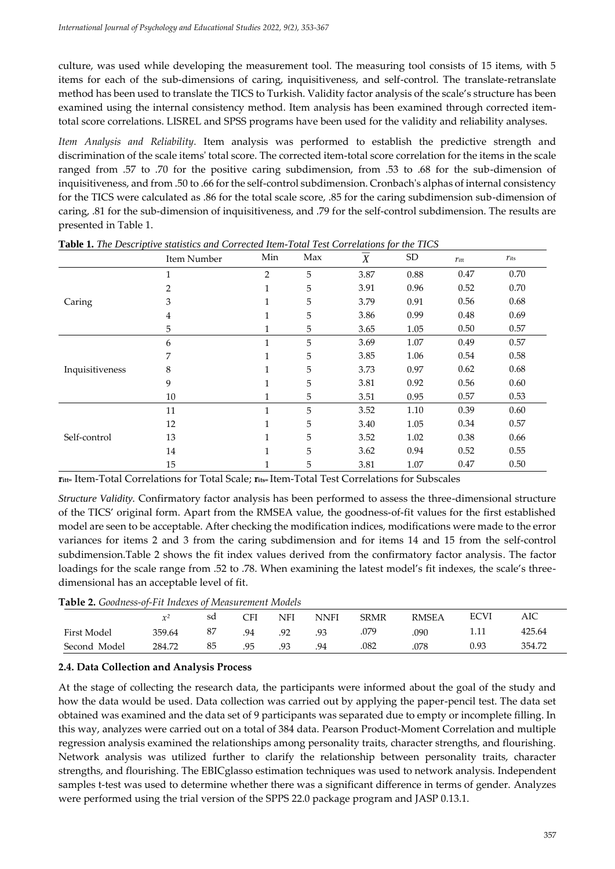culture, was used while developing the measurement tool. The measuring tool consists of 15 items, with 5 items for each of the sub-dimensions of caring, inquisitiveness, and self-control. The translate-retranslate method has been used to translate the TICS to Turkish. Validity factor analysis of the scale's structure has been examined using the internal consistency method. Item analysis has been examined through corrected itemtotal score correlations. LISREL and SPSS programs have been used for the validity and reliability analyses.

*Item Analysis and Reliability.* Item analysis was performed to establish the predictive strength and discrimination of the scale items' total score. The corrected item-total score correlation for the items in the scale ranged from .57 to .70 for the positive caring subdimension, from .53 to .68 for the sub-dimension of inquisitiveness, and from .50 to .66 for the self-control subdimension. Cronbach's alphas of internal consistency for the TICS were calculated as .86 for the total scale score, .85 for the caring subdimension sub-dimension of caring, .81 for the sub-dimension of inquisitiveness, and .79 for the self-control subdimension. The results are presented in Table 1.

|                 | Item Number    | Min            | Max | X    | ${\rm SD}$ | $r_{\rm{itt}}$ | $r_{\rm its}$ |
|-----------------|----------------|----------------|-----|------|------------|----------------|---------------|
|                 | 1              | $\overline{2}$ | 5   | 3.87 | 0.88       | 0.47           | 0.70          |
|                 | $\overline{2}$ | 1              | 5   | 3.91 | 0.96       | 0.52           | 0.70          |
| Caring          | 3              | 1              | 5   | 3.79 | 0.91       | 0.56           | 0.68          |
|                 | $\overline{4}$ | 1              | 5   | 3.86 | 0.99       | 0.48           | 0.69          |
|                 | 5              |                | 5   | 3.65 | 1.05       | $0.50\,$       | 0.57          |
|                 | 6              | $\mathbf{1}$   | 5   | 3.69 | 1.07       | 0.49           | 0.57          |
|                 | 7              | 1              | 5   | 3.85 | 1.06       | 0.54           | 0.58          |
| Inquisitiveness | 8              | 1              | 5   | 3.73 | 0.97       | 0.62           | 0.68          |
|                 | 9              | 1              | 5   | 3.81 | 0.92       | 0.56           | 0.60          |
|                 | 10             |                | 5   | 3.51 | 0.95       | 0.57           | 0.53          |
|                 | 11             | $\mathbf{1}$   | 5   | 3.52 | 1.10       | 0.39           | 0.60          |
|                 | 12             | 1              | 5   | 3.40 | 1.05       | 0.34           | 0.57          |
| Self-control    | 13             | 1              | 5   | 3.52 | 1.02       | 0.38           | 0.66          |
|                 | 14             | 1              | 5   | 3.62 | 0.94       | 0.52           | 0.55          |
|                 | 15             |                | 5   | 3.81 | 1.07       | 0.47           | 0.50          |

**Table 1.** *The Descriptive statistics and Corrected Item-Total Test Correlations for the TICS*

**ritt=** Item-Total Correlations for Total Scale; **rits=** Item-Total Test Correlations for Subscales

*Structure Validity.* Confirmatory factor analysis has been performed to assess the three-dimensional structure of the TICS' original form. Apart from the RMSEA value, the goodness-of-fit values for the first established model are seen to be acceptable. After checking the modification indices, modifications were made to the error variances for items 2 and 3 from the caring subdimension and for items 14 and 15 from the self-control subdimension.Table 2 shows the fit index values derived from the confirmatory factor analysis. The factor loadings for the scale range from .52 to .78. When examining the latest model's fit indexes, the scale's threedimensional has an acceptable level of fit.

**Table 2.** *Goodness-of-Fit Indexes of Measurement Models*

| <b>TUDIC 2.</b> COORINGS OF I II INDUCTOR INTERVALLED INTO THE |        |    |              |     |      |             |              |             |        |  |  |
|----------------------------------------------------------------|--------|----|--------------|-----|------|-------------|--------------|-------------|--------|--|--|
|                                                                |        | sd | $\bigcap$ FI | NFI | NNFI | <b>SRMR</b> | <b>RMSEA</b> | <b>ECVI</b> | AIC    |  |  |
| First Model                                                    | 359.64 |    | 94           | .92 | .93  | .079        | 090          |             | 425.64 |  |  |
| Second Model                                                   | 284.72 |    | .95          | .93 | .94  | .082        | 078          | 0.93        | 354.72 |  |  |

#### **2.4. Data Collection and Analysis Process**

At the stage of collecting the research data, the participants were informed about the goal of the study and how the data would be used. Data collection was carried out by applying the paper-pencil test. The data set obtained was examined and the data set of 9 participants was separated due to empty or incomplete filling. In this way, analyzes were carried out on a total of 384 data. Pearson Product-Moment Correlation and multiple regression analysis examined the relationships among personality traits, character strengths, and flourishing. Network analysis was utilized further to clarify the relationship between personality traits, character strengths, and flourishing. The EBICglasso estimation techniques was used to network analysis. Independent samples t-test was used to determine whether there was a significant difference in terms of gender. Analyzes were performed using the trial version of the SPPS 22.0 package program and JASP 0.13.1.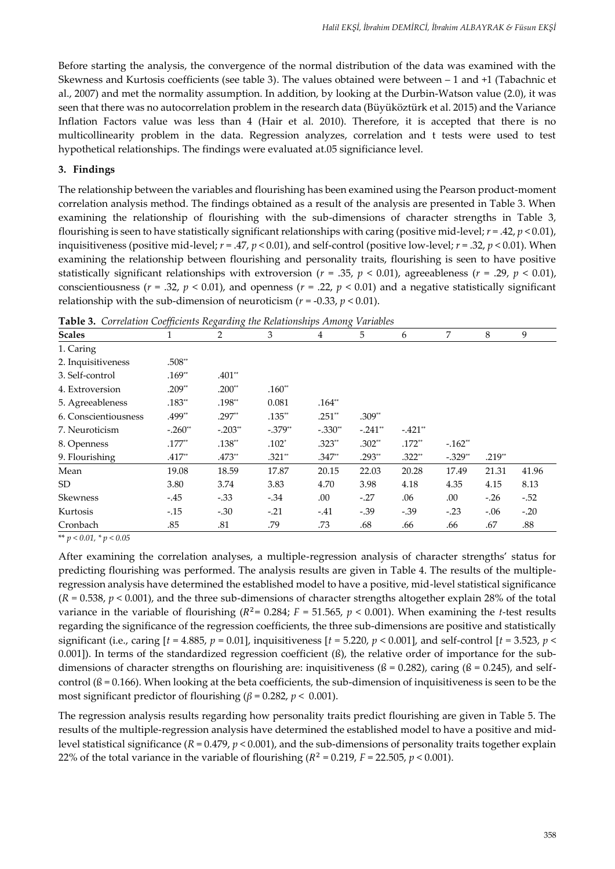Before starting the analysis, the convergence of the normal distribution of the data was examined with the Skewness and Kurtosis coefficients (see table 3). The values obtained were between – 1 and +1 (Tabachnic et al., 2007) and met the normality assumption. In addition, by looking at the Durbin-Watson value (2.0), it was seen that there was no autocorrelation problem in the research data (Büyüköztürk et al. 2015) and the Variance Inflation Factors value was less than 4 (Hair et al. 2010). Therefore, it is accepted that there is no multicollinearity problem in the data. Regression analyzes, correlation and t tests were used to test hypothetical relationships. The findings were evaluated at.05 significiance level.

# **3. Findings**

The relationship between the variables and flourishing has been examined using the Pearson product-moment correlation analysis method. The findings obtained as a result of the analysis are presented in Table 3. When examining the relationship of flourishing with the sub-dimensions of character strengths in Table 3, flourishing is seen to have statistically significant relationships with caring (positive mid-level; *r* = .42, *p* < 0.01), inquisitiveness (positive mid-level; *r* = .47, *p* < 0.01), and self-control (positive low-level; *r* = .32, *p* < 0.01). When examining the relationship between flourishing and personality traits, flourishing is seen to have positive statistically significant relationships with extroversion ( $r = .35$ ,  $p < 0.01$ ), agreeableness ( $r = .29$ ,  $p < 0.01$ ), conscientiousness ( $r = .32$ ,  $p < 0.01$ ), and openness ( $r = .22$ ,  $p < 0.01$ ) and a negative statistically significant relationship with the sub-dimension of neuroticism  $(r = -0.33, p < 0.01)$ .

| <b>Scales</b>        |           | 2         | 3          | 4         | 5         | 6         | 7         | 8        | 9      |
|----------------------|-----------|-----------|------------|-----------|-----------|-----------|-----------|----------|--------|
| 1. Caring            |           |           |            |           |           |           |           |          |        |
| 2. Inquisitiveness   | $.508**$  |           |            |           |           |           |           |          |        |
| 3. Self-control      | $.169**$  | $.401**$  |            |           |           |           |           |          |        |
| 4. Extroversion      | $.209**$  | $.200**$  | $.160**$   |           |           |           |           |          |        |
| 5. Agreeableness     | $.183**$  | $.198**$  | 0.081      | $.164**$  |           |           |           |          |        |
| 6. Conscientiousness | .499**    | $.297**$  | $.135**$   | $.251**$  | $.309**$  |           |           |          |        |
| 7. Neuroticism       | $-.260**$ | $-.203**$ | $-0.379**$ | $-.330**$ | $-.241**$ | $-.421**$ |           |          |        |
| 8. Openness          | $.177**$  | $.138**$  | $.102*$    | $.323**$  | $.302**$  | $.172**$  | $-.162**$ |          |        |
| 9. Flourishing       | $.417**$  | $.473**$  | $.321**$   | $.347**$  | $.293**$  | $.322**$  | $-.329**$ | $.219**$ |        |
| Mean                 | 19.08     | 18.59     | 17.87      | 20.15     | 22.03     | 20.28     | 17.49     | 21.31    | 41.96  |
| SD                   | 3.80      | 3.74      | 3.83       | 4.70      | 3.98      | 4.18      | 4.35      | 4.15     | 8.13   |
| <b>Skewness</b>      | $-.45$    | $-.33$    | $-34$      | .00       | $-.27$    | .06       | .00       | $-.26$   | $-.52$ |
| Kurtosis             | $-15$     | $-.30$    | $-.21$     | $-.41$    | $-.39$    | $-.39$    | $-.23$    | $-.06$   | $-.20$ |
| Cronbach             | .85       | .81       | .79        | .73       | .68       | .66       | .66       | .67      | .88    |

**Table 3.** *Correlation Coefficients Regarding the Relationships Among Variables*

\*\* *p < 0.01, \* p < 0.05*

After examining the correlation analyses, a multiple-regression analysis of character strengths' status for predicting flourishing was performed. The analysis results are given in Table 4. The results of the multipleregression analysis have determined the established model to have a positive, mid-level statistical significance  $(R = 0.538, p < 0.001)$ , and the three sub-dimensions of character strengths altogether explain 28% of the total variance in the variable of flourishing ( $R^2$ = 0.284;  $F$  = 51.565,  $p$  < 0.001). When examining the *t*-test results regarding the significance of the regression coefficients, the three sub-dimensions are positive and statistically significant (i.e., caring [*t* = 4.885, *p* = 0.01], inquisitiveness [*t =* 5.220, *p* < 0.001], and self-control [*t =* 3.523, *p* < 0.001]). In terms of the standardized regression coefficient (ß), the relative order of importance for the subdimensions of character strengths on flourishing are: inquisitiveness ( $\beta$  = 0.282), caring ( $\beta$  = 0.245), and selfcontrol  $(\beta = 0.166)$ . When looking at the beta coefficients, the sub-dimension of inquisitiveness is seen to be the most significant predictor of flourishing ( $\beta$  = 0.282,  $p$  < 0.001).

The regression analysis results regarding how personality traits predict flourishing are given in Table 5. The results of the multiple-regression analysis have determined the established model to have a positive and midlevel statistical significance (*R* = 0.479, *p* < 0.001), and the sub-dimensions of personality traits together explain 22% of the total variance in the variable of flourishing ( $R^2$  = 0.219,  $F$  = 22.505,  $p$  < 0.001).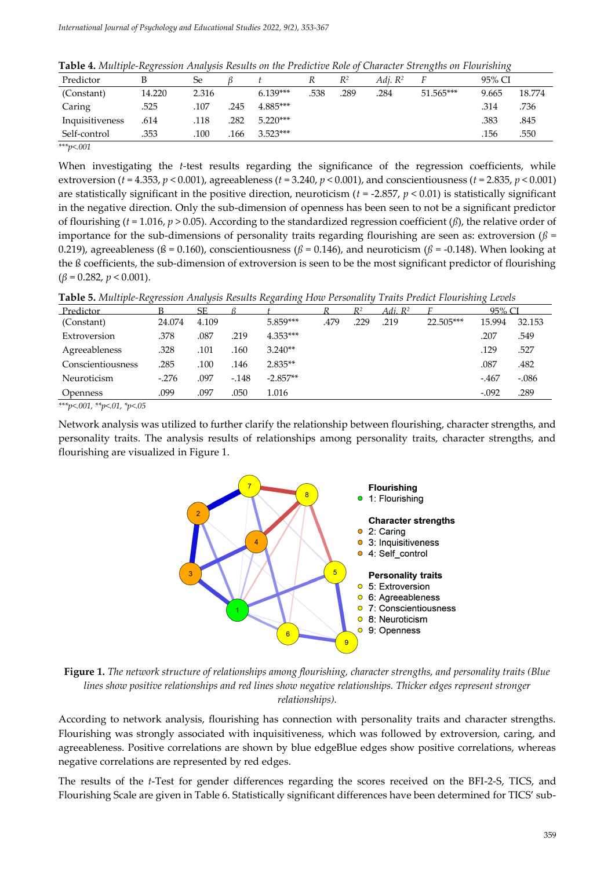|  |  | Table 4. Multiple-Regression Analysis Results on the Predictive Role of Character Strengths on Flourishing |
|--|--|------------------------------------------------------------------------------------------------------------|
|--|--|------------------------------------------------------------------------------------------------------------|

| Predictor       |        | Se    |      |            | R   | $R^2$ | Adi. $R^2$ |           | 95% CI |        |
|-----------------|--------|-------|------|------------|-----|-------|------------|-----------|--------|--------|
| (Constant)      | 14.220 | 2.316 |      | $6.139***$ | 538 | 289   | .284       | 51.565*** | 9.665  | 18.774 |
| Caring          | .525   | .107  | .245 | $4.885***$ |     |       |            |           | .314   | .736   |
| Inquisitiveness | .614   | .118  | .282 | $5.220***$ |     |       |            |           | .383   | .845   |
| Self-control    | .353   | .100  | 166  | $3.523***$ |     |       |            |           | .156   | .550   |
| *** $p<.001$    |        |       |      |            |     |       |            |           |        |        |

When investigating the *t*-test results regarding the significance of the regression coefficients, while extroversion (*t* = 4.353, *p* < 0.001), agreeableness (*t* = 3.240, *p* < 0.001), and conscientiousness (*t* = 2.835, *p* < 0.001) are statistically significant in the positive direction, neuroticism (*t* = -2.857, *p* < 0.01) is statistically significant in the negative direction. Only the sub-dimension of openness has been seen to not be a significant predictor of flourishing (*t* = 1.016, *p* > 0.05). According to the standardized regression coefficient (*ß*), the relative order of importance for the sub-dimensions of personality traits regarding flourishing are seen as: extroversion  $(\beta =$ 0.219), agreeableness ( $\beta$  = 0.160), conscientiousness ( $\beta$  = 0.146), and neuroticism ( $\beta$  = -0.148). When looking at the ß coefficients, the sub-dimension of extroversion is seen to be the most significant predictor of flourishing (*β* = 0.282, *p* < 0.001).

|  |  |  |  |  | <b>Table 5.</b> Multiple-Regression Analysis Results Regarding How Personality Traits Predict Flourishing Levels |  |  |  |  |  |  |  |  |
|--|--|--|--|--|------------------------------------------------------------------------------------------------------------------|--|--|--|--|--|--|--|--|
|--|--|--|--|--|------------------------------------------------------------------------------------------------------------------|--|--|--|--|--|--|--|--|

| Predictor              |        | SF    |        |            |      | D <sub>2</sub> | Adi. R <sup>2</sup> |           | 95% CI  |         |
|------------------------|--------|-------|--------|------------|------|----------------|---------------------|-----------|---------|---------|
| (Constant)             | 24.074 | 4.109 |        | 5.859***   | .479 | .229           | .219                | 22.505*** | 15.994  | 32.153  |
| Extroversion           | .378   | .087  | .219   | $4.353***$ |      |                |                     |           | .207    | .549    |
| Agreeableness          | .328   | .101  | 160    | $3.240**$  |      |                |                     |           | .129    | .527    |
| Conscientiousness      | .285   | .100  | 146    | $2.835**$  |      |                |                     |           | .087    | .482    |
| Neuroticism            | $-276$ | .097  | $-148$ | $-2.857**$ |      |                |                     |           | $-467$  | $-.086$ |
| <i><b>Openness</b></i> | .099   | .097  | .050   | 1.016      |      |                |                     |           | $-.092$ | .289    |

*\*\*\*p<.001, \*\*p<.01, \*p<.05*

Network analysis was utilized to further clarify the relationship between flourishing, character strengths, and personality traits. The analysis results of relationships among personality traits, character strengths, and flourishing are visualized in Figure 1.



**Figure 1.** *The network structure of relationships among flourishing, character strengths, and personality traits (Blue lines show positive relationships and red lines show negative relationships. Thicker edges represent stronger relationships).*

According to network analysis, flourishing has connection with personality traits and character strengths. Flourishing was strongly associated with inquisitiveness, which was followed by extroversion, caring, and agreeableness. Positive correlations are shown by blue edgeBlue edges show positive correlations, whereas negative correlations are represented by red edges.

The results of the *t*-Test for gender differences regarding the scores received on the BFI-2-S, TICS, and Flourishing Scale are given in Table 6. Statistically significant differences have been determined for TICS' sub-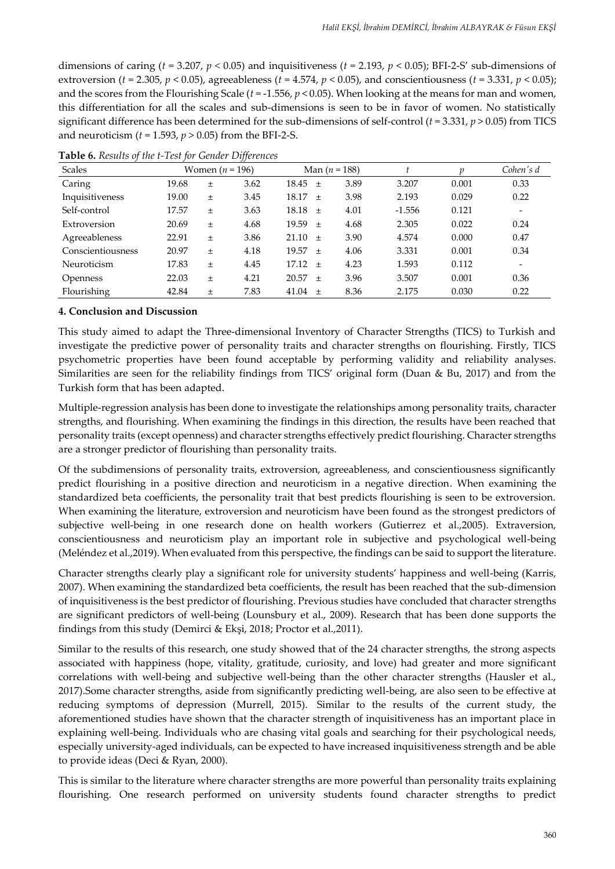dimensions of caring ( $t = 3.207$ ,  $p < 0.05$ ) and inquisitiveness ( $t = 2.193$ ,  $p < 0.05$ ); BFI-2-S' sub-dimensions of extroversion (*t* = 2.305, *p* < 0.05), agreeableness (*t* = 4.574, *p* < 0.05), and conscientiousness (*t* = 3.331, *p* < 0.05); and the scores from the Flourishing Scale (*t* = -1.556, *p* < 0.05). When looking at the means for man and women, this differentiation for all the scales and sub-dimensions is seen to be in favor of women. No statistically significant difference has been determined for the sub-dimensions of self-control (*t* = 3.331, *p* > 0.05) from TICS and neuroticism (*t* = 1.593, *p* > 0.05) from the BFI-2-S.

| <b>Scales</b>     |       | Women ( <i>n</i> = 196) |      |             |       | Man ( $n = 188$ ) |          |       | Cohen's d                |
|-------------------|-------|-------------------------|------|-------------|-------|-------------------|----------|-------|--------------------------|
| Caring            | 19.68 | $\pm$                   | 3.62 | $18.45 \pm$ |       | 3.89              | 3.207    | 0.001 | 0.33                     |
| Inquisitiveness   | 19.00 | $\pm$                   | 3.45 | 18.17       | $+$   | 3.98              | 2.193    | 0.029 | 0.22                     |
| Self-control      | 17.57 | Ŧ                       | 3.63 | 18.18       | $+$   | 4.01              | $-1.556$ | 0.121 | $\overline{\phantom{a}}$ |
| Extroversion      | 20.69 | $\pm$                   | 4.68 | $19.59 \pm$ |       | 4.68              | 2.305    | 0.022 | 0.24                     |
| Agreeableness     | 22.91 | $\pm$                   | 3.86 | $21.10 \pm$ |       | 3.90              | 4.574    | 0.000 | 0.47                     |
| Conscientiousness | 20.97 | $\pm$                   | 4.18 | 19.57       | $+$   | 4.06              | 3.331    | 0.001 | 0.34                     |
| Neuroticism       | 17.83 | $\pm$                   | 4.45 | 17.12       | $+$   | 4.23              | 1.593    | 0.112 | $\overline{\phantom{0}}$ |
| <b>Openness</b>   | 22.03 | $\pm$                   | 4.21 | 20.57       | $+$   | 3.96              | 3.507    | 0.001 | 0.36                     |
| Flourishing       | 42.84 | $\pm$                   | 7.83 | 41.04       | $\pm$ | 8.36              | 2.175    | 0.030 | 0.22                     |

**Table 6.** *Results of the t-Test for Gender Differences*

# **4. Conclusion and Discussion**

This study aimed to adapt the Three-dimensional Inventory of Character Strengths (TICS) to Turkish and investigate the predictive power of personality traits and character strengths on flourishing. Firstly, TICS psychometric properties have been found acceptable by performing validity and reliability analyses. Similarities are seen for the reliability findings from TICS' original form (Duan & Bu, 2017) and from the Turkish form that has been adapted.

Multiple-regression analysis has been done to investigate the relationships among personality traits, character strengths, and flourishing. When examining the findings in this direction, the results have been reached that personality traits (except openness) and character strengths effectively predict flourishing. Character strengths are a stronger predictor of flourishing than personality traits.

Of the subdimensions of personality traits, extroversion, agreeableness, and conscientiousness significantly predict flourishing in a positive direction and neuroticism in a negative direction. When examining the standardized beta coefficients, the personality trait that best predicts flourishing is seen to be extroversion. When examining the literature, extroversion and neuroticism have been found as the strongest predictors of subjective well-being in one research done on health workers (Gutierrez et al.,2005). Extraversion, conscientiousness and neuroticism play an important role in subjective and psychological well-being (Meléndez et al.,2019). When evaluated from this perspective, the findings can be said to support the literature.

Character strengths clearly play a significant role for university students' happiness and well-being (Karris, 2007). When examining the standardized beta coefficients, the result has been reached that the sub-dimension of inquisitiveness is the best predictor of flourishing. Previous studies have concluded that character strengths are significant predictors of well-being (Lounsbury et al., 2009). Research that has been done supports the findings from this study (Demirci & Ekşi, 2018; Proctor et al.,2011).

Similar to the results of this research, one study showed that of the 24 character strengths, the strong aspects associated with happiness (hope, vitality, gratitude, curiosity, and love) had greater and more significant correlations with well-being and subjective well-being than the other character strengths (Hausler et al., 2017).Some character strengths, aside from significantly predicting well-being, are also seen to be effective at reducing symptoms of depression (Murrell, 2015). Similar to the results of the current study, the aforementioned studies have shown that the character strength of inquisitiveness has an important place in explaining well-being. Individuals who are chasing vital goals and searching for their psychological needs, especially university-aged individuals, can be expected to have increased inquisitiveness strength and be able to provide ideas (Deci & Ryan, 2000).

This is similar to the literature where character strengths are more powerful than personality traits explaining flourishing. One research performed on university students found character strengths to predict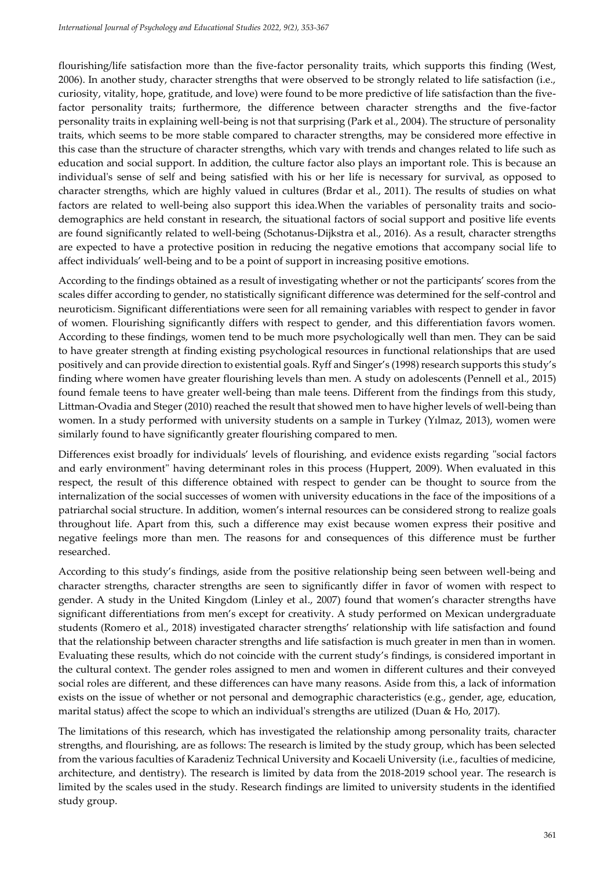flourishing/life satisfaction more than the five-factor personality traits, which supports this finding (West, 2006). In another study, character strengths that were observed to be strongly related to life satisfaction (i.e., curiosity, vitality, hope, gratitude, and love) were found to be more predictive of life satisfaction than the fivefactor personality traits; furthermore, the difference between character strengths and the five-factor personality traits in explaining well-being is not that surprising (Park et al., 2004). The structure of personality traits, which seems to be more stable compared to character strengths, may be considered more effective in this case than the structure of character strengths, which vary with trends and changes related to life such as education and social support. In addition, the culture factor also plays an important role. This is because an individual's sense of self and being satisfied with his or her life is necessary for survival, as opposed to character strengths, which are highly valued in cultures (Brdar et al., 2011). The results of studies on what factors are related to well-being also support this idea.When the variables of personality traits and sociodemographics are held constant in research, the situational factors of social support and positive life events are found significantly related to well-being (Schotanus-Dijkstra et al., 2016). As a result, character strengths are expected to have a protective position in reducing the negative emotions that accompany social life to affect individuals' well-being and to be a point of support in increasing positive emotions.

According to the findings obtained as a result of investigating whether or not the participants' scores from the scales differ according to gender, no statistically significant difference was determined for the self-control and neuroticism. Significant differentiations were seen for all remaining variables with respect to gender in favor of women. Flourishing significantly differs with respect to gender, and this differentiation favors women. According to these findings, women tend to be much more psychologically well than men. They can be said to have greater strength at finding existing psychological resources in functional relationships that are used positively and can provide direction to existential goals. Ryff and Singer's (1998) research supports this study's finding where women have greater flourishing levels than men. A study on adolescents (Pennell et al., 2015) found female teens to have greater well-being than male teens. Different from the findings from this study, Littman-Ovadia and Steger (2010) reached the result that showed men to have higher levels of well-being than women. In a study performed with university students on a sample in Turkey (Yılmaz, 2013), women were similarly found to have significantly greater flourishing compared to men.

Differences exist broadly for individuals' levels of flourishing, and evidence exists regarding "social factors and early environment" having determinant roles in this process (Huppert, 2009). When evaluated in this respect, the result of this difference obtained with respect to gender can be thought to source from the internalization of the social successes of women with university educations in the face of the impositions of a patriarchal social structure. In addition, women's internal resources can be considered strong to realize goals throughout life. Apart from this, such a difference may exist because women express their positive and negative feelings more than men. The reasons for and consequences of this difference must be further researched.

According to this study's findings, aside from the positive relationship being seen between well-being and character strengths, character strengths are seen to significantly differ in favor of women with respect to gender. A study in the United Kingdom (Linley et al., 2007) found that women's character strengths have significant differentiations from men's except for creativity. A study performed on Mexican undergraduate students (Romero et al., 2018) investigated character strengths' relationship with life satisfaction and found that the relationship between character strengths and life satisfaction is much greater in men than in women. Evaluating these results, which do not coincide with the current study's findings, is considered important in the cultural context. The gender roles assigned to men and women in different cultures and their conveyed social roles are different, and these differences can have many reasons. Aside from this, a lack of information exists on the issue of whether or not personal and demographic characteristics (e.g., gender, age, education, marital status) affect the scope to which an individual's strengths are utilized (Duan & Ho, 2017).

The limitations of this research, which has investigated the relationship among personality traits, character strengths, and flourishing, are as follows: The research is limited by the study group, which has been selected from the various faculties of Karadeniz Technical University and Kocaeli University (i.e., faculties of medicine, architecture, and dentistry). The research is limited by data from the 2018-2019 school year. The research is limited by the scales used in the study. Research findings are limited to university students in the identified study group.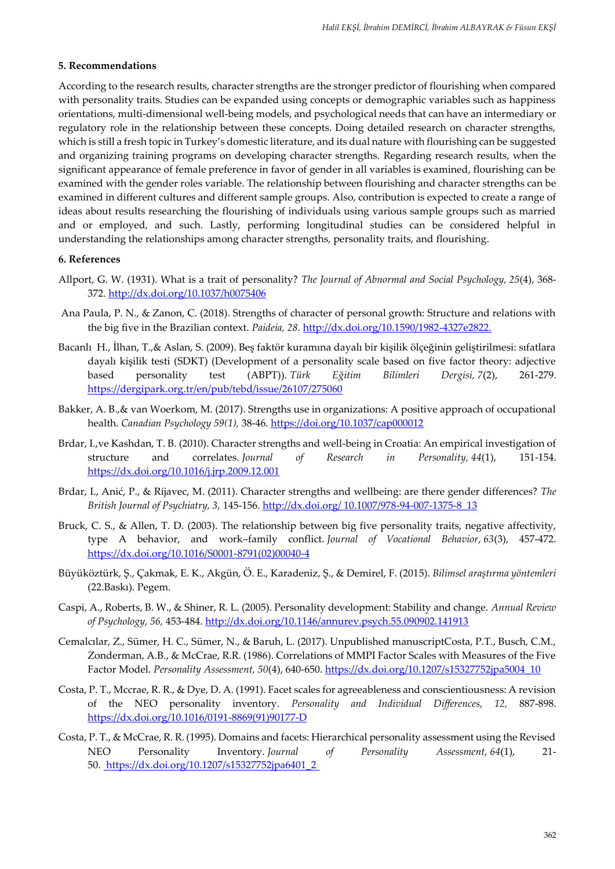#### **5. Recommendations**

According to the research results, character strengths are the stronger predictor of flourishing when compared with personality traits. Studies can be expanded using concepts or demographic variables such as happiness orientations, multi-dimensional well-being models, and psychological needs that can have an intermediary or regulatory role in the relationship between these concepts. Doing detailed research on character strengths, which is still a fresh topic in Turkey's domestic literature, and its dual nature with flourishing can be suggested and organizing training programs on developing character strengths. Regarding research results, when the significant appearance of female preference in favor of gender in all variables is examined, flourishing can be examined with the gender roles variable. The relationship between flourishing and character strengths can be examined in different cultures and different sample groups. Also, contribution is expected to create a range of ideas about results researching the flourishing of individuals using various sample groups such as married and or employed, and such. Lastly, performing longitudinal studies can be considered helpful in understanding the relationships among character strengths, personality traits, and flourishing.

#### **6. References**

- Allport, G. W. (1931). What is a trait of personality? *The Journal of Abnormal and Social Psychology, 25*(4), 368- 372.<http://dx.doi.org/10.1037/h0075406>
- Ana Paula, P. N., & Zanon, C. (2018). Strengths of character of personal growth: Structure and relations with the big five in the Brazilian context. *Paideía, 28.* http://dx.doi.org/10.1590/1982-4327e2822.
- Bacanlı H., İlhan, T.,& Aslan, S. (2009). Beş faktör kuramına dayalı bir kişilik ölçeğinin geliştirilmesi: sıfatlara dayalı kişilik testi (SDKT) (Development of a personality scale based on five factor theory: adjective based personality test (ABPT)). *Türk Eğitim Bilimleri Dergisi, 7*(2), 261-279. https://dergipark.org.tr/en/pub/tebd/issue/26107/275060
- Bakker, A. B.,& van Woerkom, M. (2017). Strengths use in organizations: A positive approach of occupational health. *Canadian Psychology 59(1),* 38-46. https://doi.org/10.1037/cap000012
- Brdar, I.,ve Kashdan, T. B. (2010). Character strengths and well-being in Croatia: An empirical investigation of structure and correlates. *Journal of Research in Personality, 44*(1), 151-154. https://dx.doi.org/10.1016/j.jrp.2009.12.001
- Brdar, I., Anić, P., & Rijavec, M. (2011). Character strengths and wellbeing: are there gender differences? *The British Journal of Psychiatry, 3,* 145-156. http://dx.doi.org/ 10.1007/978-94-007-1375-8\_13
- Bruck, C. S., & Allen, T. D. (2003). The relationship between big five personality traits, negative affectivity, type A behavior, and work–family conflict. *Journal of Vocational Behavior*, *63*(3), 457-472. https://dx.doi.org/10.1016/S0001-8791(02)00040-4
- Büyüköztürk, Ş., Çakmak, E. K., Akgün, Ö. E., Karadeniz, Ş., & Demirel, F. (2015). *Bilimsel araştırma yöntemleri*  (22.Baskı). Pegem.
- Caspi, A., Roberts, B. W., & Shiner, R. L. (2005). Personality development: Stability and change. *Annual Review of Psychology, 56,* 453-484. http://dx.doi.org/10.1146/annurev.psych.55.090902.141913
- Cemalcılar, Z., Sümer, H. C., Sümer, N., & Baruh, L. (2017). Unpublished manuscriptCosta, P.T., Busch, C.M., Zonderman, A.B., & McCrae, R.R. (1986). Correlations of MMPI Factor Scales with Measures of the Five Factor Model. *Personality Assessment, 50*(4), 640-650. https://dx.doi.org/10.1207/s15327752jpa5004\_10
- Costa, P. T., Mccrae, R. R., & Dye, D. A. (1991). Facet scales for agreeableness and conscientiousness: A revision of the NEO personality inventory. *Personality and Individual Differences, 12,* 887-898. https://dx.doi.org[/10.1016/0191-8869\(91\)90177-D](https://doi.org/10.1016/0191-8869(91)90177-D)
- Costa, P. T., & McCrae, R. R. (1995). Domains and facets: Hierarchical personality assessment using the Revised NEO Personality Inventory. *Journal of Personality Assessment, 64*(1), 21- 50. [https://dx.doi.org/10.1207/s15327752jpa6401\\_2](https://doi.org/10.1207/s15327752jpa6401_2)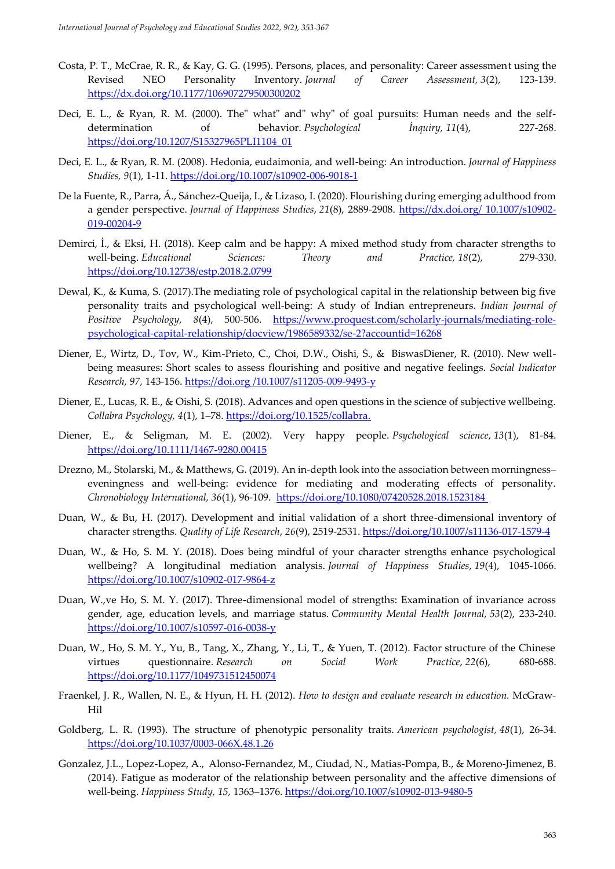- Costa, P. T., McCrae, R. R., & Kay, G. G. (1995). Persons, places, and personality: Career assessment using the Revised NEO Personality Inventory. *Journal of Career Assessment, 3*(2), 123-139. https://dx.doi.org/10.1177/106907279500300202
- Deci, E. L., & Ryan, R. M. (2000). The" what" and" why" of goal pursuits: Human needs and the selfdetermination of behavior. *Psychological İnquiry, 11*(4), 227-268. https://doi.org/10.1207/S15327965PLI1104\_01
- Deci, E. L., & Ryan, R. M. (2008). Hedonia, eudaimonia, and well-being: An introduction. *Journal of Happiness Studies, 9*(1), 1-11. https://doi.org/10.1007/s10902-006-9018-1
- De la Fuente, R., Parra, Á., Sánchez-Queija, I., & Lizaso, I. (2020). Flourishing during emerging adulthood from a gender perspective. *Journal of Happiness Studies*, *21*(8), 2889-2908. https://dx.doi.org/ 10.1007/s10902- 019-00204-9
- Demirci, İ., & Eksi, H. (2018). Keep calm and be happy: A mixed method study from character strengths to well-being. *Educational Sciences: Theory and Practice, 18*(2), 279-330. https://doi.org/10.12738/estp.2018.2.0799
- Dewal, K., & Kuma, S. (2017).The mediating role of psychological capital in the relationship between big five personality traits and psychological well-being: A study of Indian entrepreneurs. *Indian Journal of Positive Psychology, 8*(4), 500-506. https://www.proquest.com/scholarly-journals/mediating-rolepsychological-capital-relationship/docview/1986589332/se-2?accountid=16268
- Diener, E., Wirtz, D., Tov, W., Kim-Prieto, C., Choi, D.W., Oishi, S., & BiswasDiener, R. (2010). New wellbeing measures: Short scales to assess flourishing and positive and negative feelings. *Social Indicator Research, 97,* 143-156. https://doi.org /10.1007/s11205-009-9493-y
- Diener, E., Lucas, R. E., & Oishi, S. (2018). Advances and open questions in the science of subjective wellbeing. *Collabra Psychology, 4*(1), 1–78. https://doi.org/10.1525/collabra.
- Diener, E., & Seligman, M. E. (2002). Very happy people. *Psychological science*, *13*(1), 81-84. <https://doi.org/10.1111/1467-9280.00415>
- Drezno, M., Stolarski, M., & Matthews, G. (2019). An in-depth look into the association between morningness– eveningness and well-being: evidence for mediating and moderating effects of personality. *Chronobiology International, 36*(1), 96-109. <https://doi.org/10.1080/07420528.2018.1523184>
- Duan, W., & Bu, H. (2017). Development and initial validation of a short three-dimensional inventory of character strengths. *Quality of Life Research*, *26*(9), 2519-2531. https://doi.org/10.1007/s11136-017-1579-4
- Duan, W., & Ho, S. M. Y. (2018). Does being mindful of your character strengths enhance psychological wellbeing? A longitudinal mediation analysis. *Journal of Happiness Studies*, *19*(4), 1045-1066. https://doi.org/10.1007/s10902-017-9864-z
- Duan, W.,ve Ho, S. M. Y. (2017). Three-dimensional model of strengths: Examination of invariance across gender, age, education levels, and marriage status. *Community Mental Health Journal, 53*(2), 233-240. https://doi.org/10.1007/s10597-016-0038-y
- Duan, W., Ho, S. M. Y., Yu, B., Tang, X., Zhang, Y., Li, T., & Yuen, T. (2012). Factor structure of the Chinese virtues questionnaire. *Research on Social Work Practice*, *22*(6), 680-688. https://doi.org/10.1177/1049731512450074
- Fraenkel, J. R., Wallen, N. E., & Hyun, H. H. (2012). *How to design and evaluate research in education.* McGraw-Hil
- Goldberg, L. R. (1993). The structure of phenotypic personality traits. *American psychologist, 48*(1), 26-34. [https://doi.org/10.1037/0003-066X.48.1.26](https://psycnet.apa.org/doi/10.1037/0003-066X.48.1.26)
- Gonzalez, J.L., Lopez-Lopez, A., Alonso-Fernandez, M., Ciudad, N., Matias-Pompa, B., & Moreno-Jimenez, B. (2014). Fatigue as moderator of the relationship between personality and the affective dimensions of well-being. *Happiness Study, 15,* 1363–1376. https://doi.org/10.1007/s10902-013-9480-5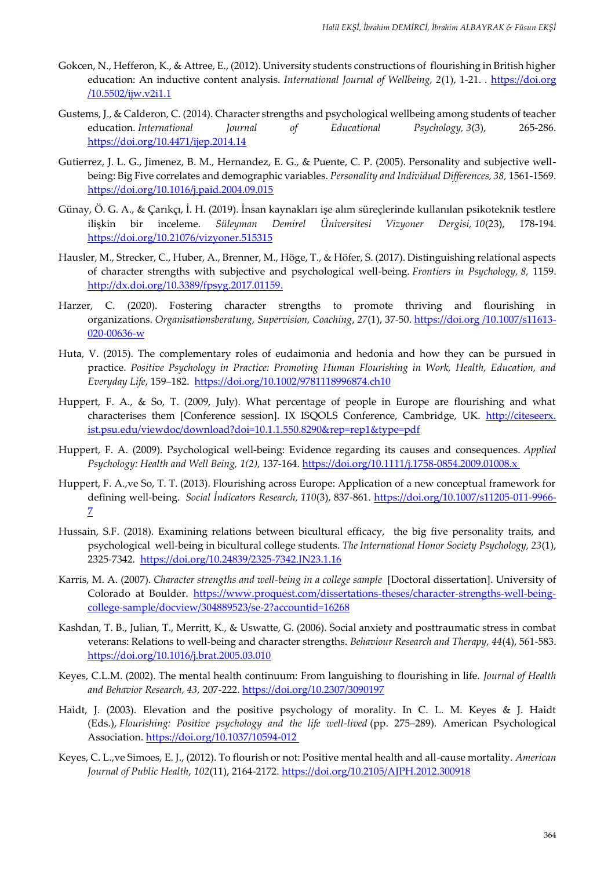- Gokcen, N., Hefferon, K., & Attree, E., (2012). University students constructions of flourishing in British higher education: An inductive content analysis. *International Journal of Wellbeing*, 2(1), 1-21. . https://doi.org /10.5502/ijw.v2i1.1
- Gustems, J., & Calderon, C. (2014). Character strengths and psychological wellbeing among students of teacher education. *International Journal of Educational Psychology, 3*(3), 265-286. https://doi.org/10.4471/ijep.2014.14
- Gutierrez, J. L. G., Jimenez, B. M., Hernandez, E. G., & Puente, C. P. (2005). Personality and subjective wellbeing: Big Five correlates and demographic variables. *Personality and Individual Differences, 38,* 1561-1569. <https://doi.org/10.1016/j.paid.2004.09.015>
- Günay, Ö. G. A., & Çarıkçı, İ. H. (2019). İnsan kaynakları işe alım süreçlerinde kullanılan psikoteknik testlere ilişkin bir inceleme. *Süleyman Demirel Üniversitesi Vizyoner Dergisi, 10*(23), 178-194. <https://doi.org/10.21076/vizyoner.515315>
- Hausler, M., Strecker, C., Huber, A., Brenner, M., Höge, T., & Höfer, S. (2017). Distinguishing relational aspects of character strengths with subjective and psychological well-being. *Frontiers in Psychology, 8,* 1159. [http://dx.doi.org/10.3389/fpsyg.2017.01159.](http://dx.doi.org/10.3389/fpsyg.2017.01159)
- Harzer, C. (2020). Fostering character strengths to promote thriving and flourishing in organizations. *Organisationsberatung, Supervision, Coaching*, *27*(1), 37-50. https://doi.org /10.1007/s11613- 020-00636-w
- Huta, V. (2015). The complementary roles of eudaimonia and hedonia and how they can be pursued in practice. *Positive Psychology in Practice: Promoting Human Flourishing in Work, Health, Education, and Everyday Life*, 159–182. <https://doi.org/10.1002/9781118996874.ch10>
- Huppert, F. A., & So, T. (2009, July). What percentage of people in Europe are flourishing and what characterises them [Conference session]. IX ISQOLS Conference, Cambridge, UK. http://citeseerx. ist.psu.edu/viewdoc/download?doi=10.1.1.550.8290&rep=rep1&type=pdf
- Huppert, F. A. (2009). Psychological well‐being: Evidence regarding its causes and consequences. *Applied Psychology: Health and Well Being, 1(2),* 137-164[. https://doi.org/10.1111/j.1758-0854.2009.01008.x](https://doi.org/10.1111/j.1758-0854.2009.01008.x)
- Huppert, F. A.,ve So, T. T. (2013). Flourishing across Europe: Application of a new conceptual framework for defining well-being. *Social İndicators Research, 110*(3), 837-861. https://doi.org/10.1007/s11205-011-9966- 7
- Hussain, S.F. (2018). Examining relations between bicultural efficacy, the big five personality traits, and psychological well-being in bicultural college students. *The International Honor Society Psychology, 23*(1), 2325-7342. https://doi.org/10.24839/2325-7342.JN23.1.16
- Karris, M. A. (2007). *Character strengths and well-being in a college sample* [Doctoral dissertation]. University of Colorado at Boulder. https://www.proquest.com/dissertations-theses/character-strengths-well-beingcollege-sample/docview/304889523/se-2?accountid=16268
- Kashdan, T. B., Julian, T., Merritt, K., & Uswatte, G. (2006). Social anxiety and posttraumatic stress in combat veterans: Relations to well-being and character strengths. *Behaviour Research and Therapy, 44*(4), 561-583. <https://doi.org/10.1016/j.brat.2005.03.010>
- Keyes, C.L.M. (2002). The mental health continuum: From languishing to flourishing in life. *Journal of Health and Behavior Research, 43,* 207-222. https://doi.org/10.2307/3090197
- Haidt, J. (2003). Elevation and the positive psychology of morality. In C. L. M. Keyes & J. Haidt (Eds.), *Flourishing: Positive psychology and the life well-lived* (pp. 275–289). American Psychological Association. [https://doi.org/10.1037/10594-012](https://psycnet.apa.org/doi/10.1037/10594-012)
- Keyes, C. L.,ve Simoes, E. J., (2012). To flourish or not: Positive mental health and all-cause mortality. *American Journal of Public Health*, *102*(11), 2164-2172.<https://doi.org/10.2105/AJPH.2012.300918>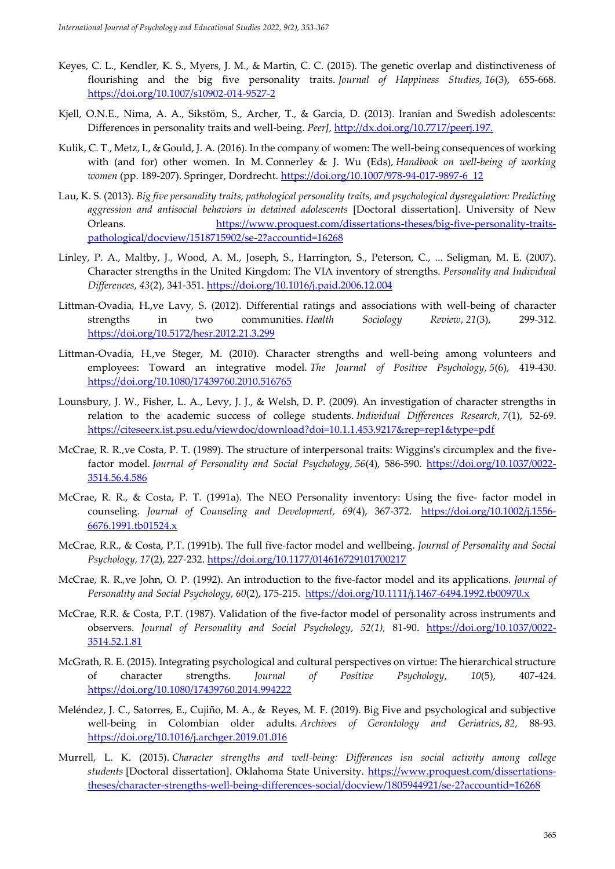- Keyes, C. L., Kendler, K. S., Myers, J. M., & Martin, C. C. (2015). The genetic overlap and distinctiveness of flourishing and the big five personality traits. *Journal of Happiness Studies*, *16*(3), 655-668. https://doi.org/10.1007/s10902-014-9527-2
- Kjell, O.N.E., Nima, A. A., Sikstöm, S., Archer, T., & Garcia, D. (2013). Iranian and Swedish adolescents: Differences in personality traits and well-being. PeerJ, http://dx.doi.org/10.7717/peerj.197.
- Kulik, C. T., Metz, I., & Gould, J. A. (2016). In the company of women: The well-being consequences of working with (and for) other women. In M. Connerley & J. Wu (Eds), *Handbook on well-being of working women* (pp. 189-207). Springer, Dordrecht. https://doi.org/10.1007/978-94-017-9897-6\_12
- Lau, K. S. (2013). *Big five personality traits, pathological personality traits, and psychological dysregulation: Predicting aggression and antisocial behaviors in detained adolescents* [Doctoral dissertation]. University of New Orleans. https://www.proquest.com/dissertations-theses/big-five-personality-traitspathological/docview/1518715902/se-2?accountid=16268
- Linley, P. A., Maltby, J., Wood, A. M., Joseph, S., Harrington, S., Peterson, C., ... Seligman, M. E. (2007). Character strengths in the United Kingdom: The VIA inventory of strengths. *Personality and Individual Differences*, *43*(2), 341-351.<https://doi.org/10.1016/j.paid.2006.12.004>
- Littman-Ovadia, H.,ve Lavy, S. (2012). Differential ratings and associations with well-being of character strengths in two communities. *Health Sociology Review*, *21*(3), 299-312. https://doi.org/10.5172/hesr.2012.21.3.299
- Littman-Ovadia, H.,ve Steger, M. (2010). Character strengths and well-being among volunteers and employees: Toward an integrative model. *The Journal of Positive Psychology*, *5*(6), 419-430. https://doi.org/10.1080/17439760.2010.516765
- Lounsbury, J. W., Fisher, L. A., Levy, J. J., & Welsh, D. P. (2009). An investigation of character strengths in relation to the academic success of college students. *Individual Differences Research*, *7*(1), 52-69. https://citeseerx.ist.psu.edu/viewdoc/download?doi=10.1.1.453.9217&rep=rep1&type=pdf
- McCrae, R. R.,ve Costa, P. T. (1989). The structure of interpersonal traits: Wiggins's circumplex and the fivefactor model. *Journal of Personality and Social Psychology*, 56(4), 586-590. [https://doi.org/10.1037/0022-](https://psycnet.apa.org/doi/10.1037/0022-3514.56.4.586) [3514.56.4.586](https://psycnet.apa.org/doi/10.1037/0022-3514.56.4.586)
- McCrae, R. R., & Costa, P. T. (1991a). The NEO Personality inventory: Using the five-factor model in counseling. *Journal of Counseling and Development*, 69(4), 367-372. [https://doi.org/10.1002/j.1556-](https://doi.org/10.1002/j.1556-6676.1991.tb01524.x) [6676.1991.tb01524.x](https://doi.org/10.1002/j.1556-6676.1991.tb01524.x)
- McCrae, R.R., & Costa, P.T. (1991b). The full five-factor model and wellbeing. *Journal of Personality and Social Psychology, 17*(2), 227-232.<https://doi.org/10.1177/014616729101700217>
- McCrae, R. R.,ve John, O. P. (1992). An introduction to the five‐factor model and its applications. *Journal of Personality and Social Psychology*, *60*(2), 175-215. <https://doi.org/10.1111/j.1467-6494.1992.tb00970.x>
- McCrae, R.R. & Costa, P.T. (1987). Validation of the five-factor model of personality across instruments and observers. *Journal of Personality and Social Psychology*, *52(1),* 81-90. [https://doi.org/10.1037/0022-](https://psycnet.apa.org/doi/10.1037/0022-3514.52.1.81) [3514.52.1.81](https://psycnet.apa.org/doi/10.1037/0022-3514.52.1.81)
- McGrath, R. E. (2015). Integrating psychological and cultural perspectives on virtue: The hierarchical structure of character strengths. *Journal of Positive Psychology*, *10*(5), 407-424. https://doi.org/10.1080/17439760.2014.994222
- Meléndez, J. C., Satorres, E., Cujiño, M. A., & Reyes, M. F. (2019). Big Five and psychological and subjective well-being in Colombian older adults. *Archives of Gerontology and Geriatrics*, *82,* 88-93. <https://doi.org/10.1016/j.archger.2019.01.016>
- Murrell, L. K. (2015). *Character strengths and well-being: Differences isn social activity among college students* [Doctoral dissertation]. Oklahoma State University. https://www.proquest.com/dissertationstheses/character-strengths-well-being-differences-social/docview/1805944921/se-2?accountid=16268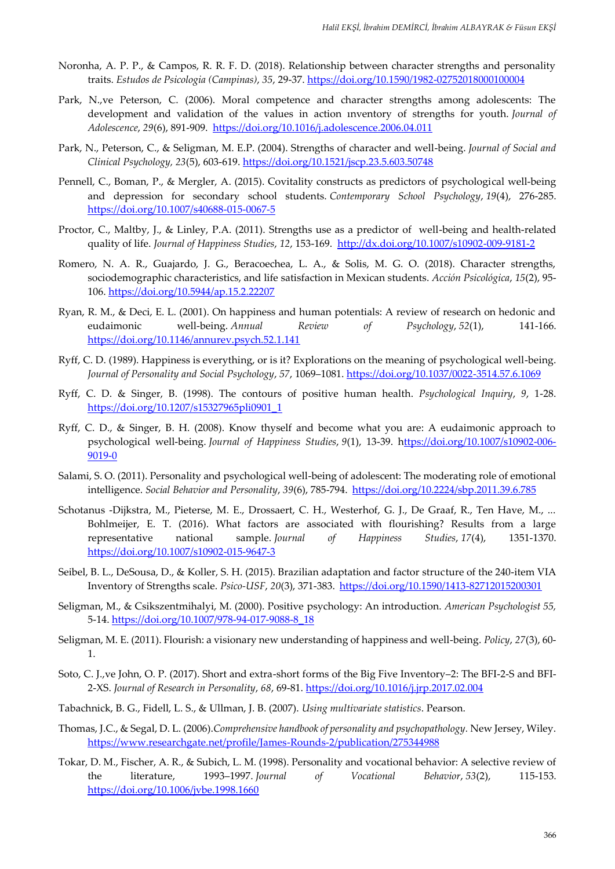- Noronha, A. P. P., & Campos, R. R. F. D. (2018). Relationship between character strengths and personality traits. *Estudos de Psicologia (Campinas)*, *35*, 29-37. https://doi.org/10.1590/1982-02752018000100004
- Park, N.,ve Peterson, C. (2006). Moral competence and character strengths among adolescents: The development and validation of the values in action ınventory of strengths for youth. *Journal of Adolescence*, *29*(6), 891-909. <https://doi.org/10.1016/j.adolescence.2006.04.011>
- Park, N., Peterson, C., & Seligman, M. E.P. (2004). Strengths of character and well-being. *Journal of Social and Clinical Psychology, 23*(5), 603-619. https://doi.org/10.1521/jscp.23.5.603.50748
- Pennell, C., Boman, P., & Mergler, A. (2015). Covitality constructs as predictors of psychological well-being and depression for secondary school students. *Contemporary School Psychology*, *19*(4), 276-285. https://doi.org/10.1007/s40688-015-0067-5
- Proctor, C., Maltby, J., & Linley, P.A. (2011). Strengths use as a predictor of well-being and health-related quality of life. *Journal of Happiness Studies*, *12*, 153-169. http://dx.doi.org/10.1007/s10902-009-9181-2
- Romero, N. A. R., Guajardo, J. G., Beracoechea, L. A., & Solis, M. G. O. (2018). Character strengths, sociodemographic characteristics, and life satisfaction in Mexican students. *Acción Psicológica*, *15*(2), 95- 106. https://doi.org/10.5944/ap.15.2.22207
- Ryan, R. M., & Deci, E. L. (2001). On happiness and human potentials: A review of research on hedonic and eudaimonic well-being. *Annual Review of Psychology*, *52*(1), 141-166. https://doi.org/10.1146/annurev.psych.52.1.141
- Ryff, C. D. (1989). Happiness is everything, or is it? Explorations on the meaning of psychological well-being. *Journal of Personality and Social Psychology*, *57*, 1069–1081. https://doi.org/10.1037/0022-3514.57.6.1069
- Ryff, C. D. & Singer, B. (1998). The contours of positive human health. *Psychological Inquiry*, *9*, 1-28. https://doi.org/10.1207/s15327965pli0901\_1
- Ryff, C. D., & Singer, B. H. (2008). Know thyself and become what you are: A eudaimonic approach to psychological well-being. *Journal of Happiness Studies*, *9*(1), 13-39. https://doi.org/10.1007/s10902-006- 9019-0
- Salami, S. O. (2011). Personality and psychological well-being of adolescent: The moderating role of emotional intelligence. *Social Behavior and Personality*, *39*(6), 785-794.<https://doi.org/10.2224/sbp.2011.39.6.785>
- Schotanus -Dijkstra, M., Pieterse, M. E., Drossaert, C. H., Westerhof, G. J., De Graaf, R., Ten Have, M., ... Bohlmeijer, E. T. (2016). What factors are associated with flourishing? Results from a large representative national sample. *Journal of Happiness Studies*, *17*(4), 1351-1370. https://doi.org/10.1007/s10902-015-9647-3
- Seibel, B. L., DeSousa, D., & Koller, S. H. (2015). Brazilian adaptation and factor structure of the 240-item VIA Inventory of Strengths scale. *Psico-USF*, *20*(3), 371-383. <https://doi.org/10.1590/1413-82712015200301>
- Seligman, M., & Csikszentmihalyi, M. (2000). Positive psychology: An introduction. *American Psychologist 55,* 5-14. [https://doi.org/10.1007/978-94-017-9088-8\\_18](https://doi.org/10.1007/978-94-017-9088-8_18)
- Seligman, M. E. (2011). Flourish: a visionary new understanding of happiness and well-being. *Policy*, *27*(3), 60- 1.
- Soto, C. J.,ve John, O. P. (2017). Short and extra-short forms of the Big Five Inventory–2: The BFI-2-S and BFI-2-XS. *Journal of Research in Personality*, *68*, 69-81.<https://doi.org/10.1016/j.jrp.2017.02.004>
- Tabachnick, B. G., Fidell, L. S., & Ullman, J. B. (2007). *Using multivariate statistics*. Pearson.
- Thomas, J.C., & Segal, D. L. (2006).*Comprehensive handbook of personality and psychopathology.* New Jersey, Wiley. https://www.researchgate.net/profile/James-Rounds-2/publication/275344988
- Tokar, D. M., Fischer, A. R., & Subich, L. M. (1998). Personality and vocational behavior: A selective review of the literature, 1993–1997. *Journal of Vocational Behavior*, *53*(2), 115-153. <https://doi.org/10.1006/jvbe.1998.1660>